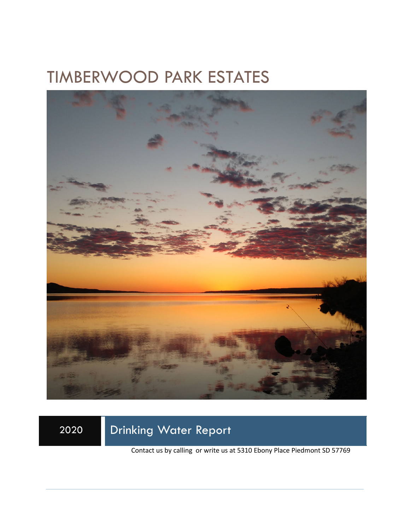# TIMBERWOOD PARK ESTATES



2020 Drinking Water Report

Contact us by calling or write us at 5310 Ebony Place Piedmont SD 57769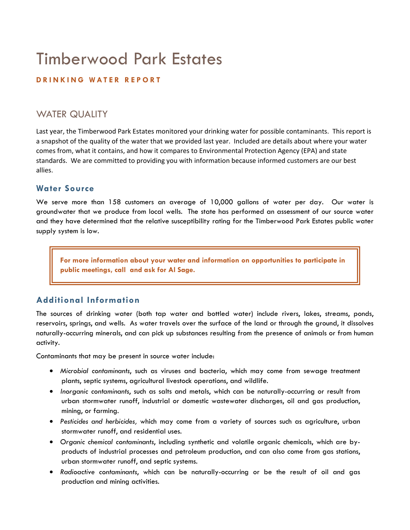# Timberwood Park Estates

#### **DRINKING WATER REPORT**

### WATER QUALITY

Last year, the Timberwood Park Estates monitored your drinking water for possible contaminants. This report is a snapshot of the quality of the water that we provided last year. Included are details about where your water comes from, what it contains, and how it compares to Environmental Protection Agency (EPA) and state standards. We are committed to providing you with information because informed customers are our best allies.

#### **Water Source**

We serve more than 158 customers an average of 10,000 gallons of water per day. Our water is groundwater that we produce from local wells. The state has performed an assessment of our source water and they have determined that the relative susceptibility rating for the Timberwood Park Estates public water supply system is low.

**For more information about your water and information on opportunities to participate in public meetings, call and ask for Al Sage.** 

#### **Additional Information**

The sources of drinking water (both tap water and bottled water) include rivers, lakes, streams, ponds, reservoirs, springs, and wells. As water travels over the surface of the land or through the ground, it dissolves naturally-occurring minerals, and can pick up substances resulting from the presence of animals or from human activity.

Contaminants that may be present in source water include:

- *Microbial contaminants*, such as viruses and bacteria, which may come from sewage treatment plants, septic systems, agricultural livestock operations, and wildlife.
- *Inorganic contaminants*, such as salts and metals, which can be naturally-occurring or result from urban stormwater runoff, industrial or domestic wastewater discharges, oil and gas production, mining, or farming.
- *Pesticides and herbicides,* which may come from a variety of sources such as agriculture, urban stormwater runoff, and residential uses.
- *Organic chemical contaminants*, including synthetic and volatile organic chemicals, which are byproducts of industrial processes and petroleum production, and can also come from gas stations, urban stormwater runoff, and septic systems.
- *Radioactive contaminants*, which can be naturally-occurring or be the result of oil and gas production and mining activities.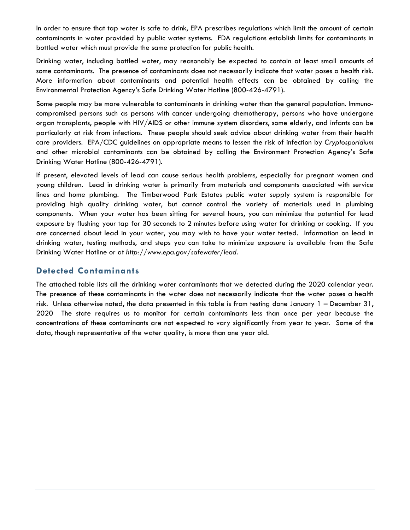In order to ensure that tap water is safe to drink, EPA prescribes regulations which limit the amount of certain contaminants in water provided by public water systems. FDA regulations establish limits for contaminants in bottled water which must provide the same protection for public health.

Drinking water, including bottled water, may reasonably be expected to contain at least small amounts of some contaminants. The presence of contaminants does not necessarily indicate that water poses a health risk. More information about contaminants and potential health effects can be obtained by calling the Environmental Protection Agency's Safe Drinking Water Hotline (800-426-4791).

Some people may be more vulnerable to contaminants in drinking water than the general population. Immunocompromised persons such as persons with cancer undergoing chemotherapy, persons who have undergone organ transplants, people with HIV/AIDS or other immune system disorders, some elderly, and infants can be particularly at risk from infections. These people should seek advice about drinking water from their health care providers. EPA/CDC guidelines on appropriate means to lessen the risk of infection by *Cryptosporidium* and other microbial contaminants can be obtained by calling the Environment Protection Agency's Safe Drinking Water Hotline (800-426-4791).

If present, elevated levels of lead can cause serious health problems, especially for pregnant women and young children. Lead in drinking water is primarily from materials and components associated with service lines and home plumbing. The Timberwood Park Estates public water supply system is responsible for providing high quality drinking water, but cannot control the variety of materials used in plumbing components. When your water has been sitting for several hours, you can minimize the potential for lead exposure by flushing your tap for 30 seconds to 2 minutes before using water for drinking or cooking. If you are concerned about lead in your water, you may wish to have your water tested. Information on lead in drinking water, testing methods, and steps you can take to minimize exposure is available from the Safe Drinking Water Hotline or at *http://www.epa.gov/safewater/lead*.

#### **Detected Contaminants**

The attached table lists all the drinking water contaminants that we detected during the 2020 calendar year. The presence of these contaminants in the water does not necessarily indicate that the water poses a health risk. Unless otherwise noted, the data presented in this table is from testing done January 1 – December 31, 2020 The state requires us to monitor for certain contaminants less than once per year because the concentrations of these contaminants are not expected to vary significantly from year to year. Some of the data, though representative of the water quality, is more than one year old.